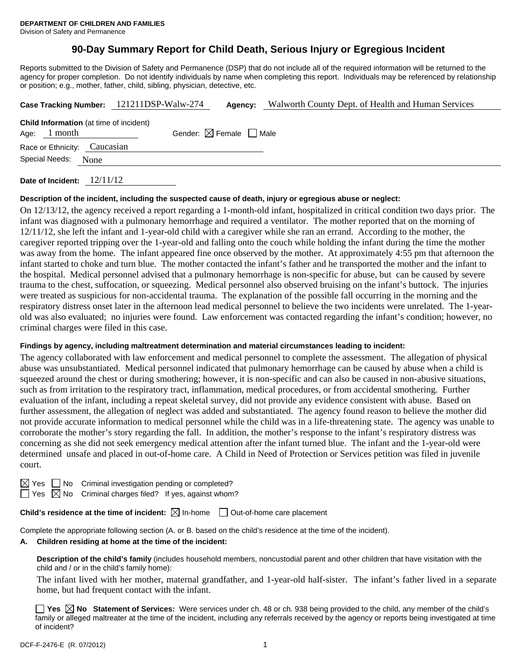# **90-Day Summary Report for Child Death, Serious Injury or Egregious Incident**

Reports submitted to the Division of Safety and Permanence (DSP) that do not include all of the required information will be returned to the agency for proper completion. Do not identify individuals by name when completing this report. Individuals may be referenced by relationship or position; e.g., mother, father, child, sibling, physician, detective, etc.

| Case Tracking Number: 121211DSP-Walw-274 |                |                                                |  | Agency:                                | Walworth County Dept. of Health and Human Services |  |
|------------------------------------------|----------------|------------------------------------------------|--|----------------------------------------|----------------------------------------------------|--|
|                                          | Age: $1$ month | <b>Child Information</b> (at time of incident) |  | Gender: $\boxtimes$ Female $\Box$ Male |                                                    |  |
|                                          |                | Race or Ethnicity: Caucasian                   |  |                                        |                                                    |  |
| Special Needs: None                      |                |                                                |  |                                        |                                                    |  |
|                                          |                |                                                |  |                                        |                                                    |  |

**Date of Incident:** 12/11/12

#### **Description of the incident, including the suspected cause of death, injury or egregious abuse or neglect:**

On 12/13/12, the agency received a report regarding a 1-month-old infant, hospitalized in critical condition two days prior. The infant was diagnosed with a pulmonary hemorrhage and required a ventilator. The mother reported that on the morning of 12/11/12, she left the infant and 1-year-old child with a caregiver while she ran an errand. According to the mother, the caregiver reported tripping over the 1-year-old and falling onto the couch while holding the infant during the time the mother was away from the home. The infant appeared fine once observed by the mother. At approximately 4:55 pm that afternoon the infant started to choke and turn blue. The mother contacted the infant's father and he transported the mother and the infant to the hospital. Medical personnel advised that a pulmonary hemorrhage is non-specific for abuse, but can be caused by severe trauma to the chest, suffocation, or squeezing. Medical personnel also observed bruising on the infant's buttock. The injuries were treated as suspicious for non-accidental trauma. The explanation of the possible fall occurring in the morning and the respiratory distress onset later in the afternoon lead medical personnel to believe the two incidents were unrelated. The 1-yearold was also evaluated; no injuries were found. Law enforcement was contacted regarding the infant's condition; however, no criminal charges were filed in this case.

## **Findings by agency, including maltreatment determination and material circumstances leading to incident:**

The agency collaborated with law enforcement and medical personnel to complete the assessment. The allegation of physical abuse was unsubstantiated. Medical personnel indicated that pulmonary hemorrhage can be caused by abuse when a child is squeezed around the chest or during smothering; however, it is non-specific and can also be caused in non-abusive situations, such as from irritation to the respiratory tract, inflammation, medical procedures, or from accidental smothering. Further evaluation of the infant, including a repeat skeletal survey, did not provide any evidence consistent with abuse. Based on further assessment, the allegation of neglect was added and substantiated. The agency found reason to believe the mother did not provide accurate information to medical personnel while the child was in a life-threatening state. The agency was unable to corroborate the mother's story regarding the fall. In addition, the mother's response to the infant's respiratory distress was concerning as she did not seek emergency medical attention after the infant turned blue. The infant and the 1-year-old were determined unsafe and placed in out-of-home care. A Child in Need of Protection or Services petition was filed in juvenile court.

 $\Box$  No Criminal investigation pending or completed?

 $\Box$  Yes  $\boxtimes$  No Criminal charges filed? If yes, against whom?

**Child's residence at the time of incident:**  $\boxtimes$  In-home  $\Box$  Out-of-home care placement

Complete the appropriate following section (A. or B. based on the child's residence at the time of the incident).

## **A. Children residing at home at the time of the incident:**

**Description of the child's family** (includes household members, noncustodial parent and other children that have visitation with the child and / or in the child's family home):

The infant lived with her mother, maternal grandfather, and 1-year-old half-sister. The infant's father lived in a separate home, but had frequent contact with the infant.

**Yes**  $\boxtimes$  **No** Statement of Services: Were services under ch. 48 or ch. 938 being provided to the child, any member of the child's family or alleged maltreater at the time of the incident, including any referrals received by the agency or reports being investigated at time of incident?